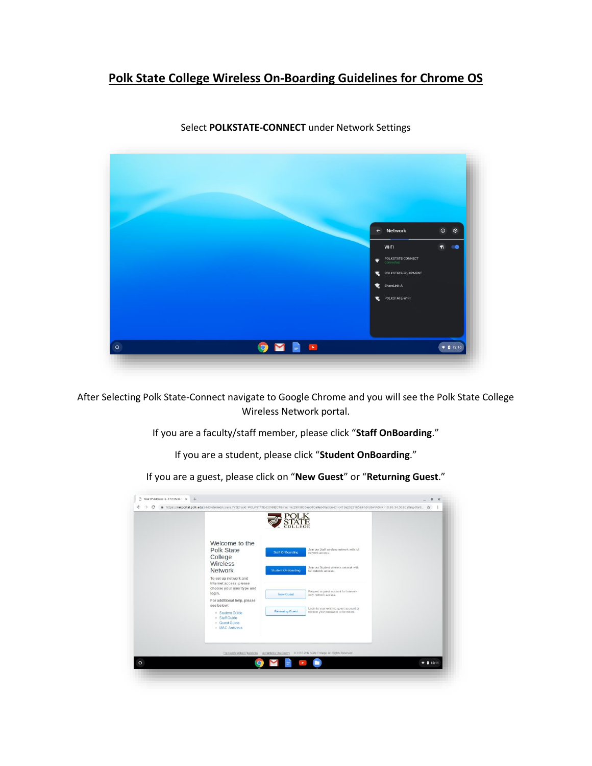## **Polk State College Wireless On-Boarding Guidelines for Chrome OS**



Select **POLKSTATE-CONNECT** under Network Settings

After Selecting Polk State-Connect navigate to Google Chrome and you will see the Polk State College Wireless Network portal.

If you are a faculty/staff member, please click "**Staff OnBoarding**."

If you are a student, please click "**Student OnBoarding**."

If you are a guest, please click on "**New Guest**" or "**Returning Guest**."

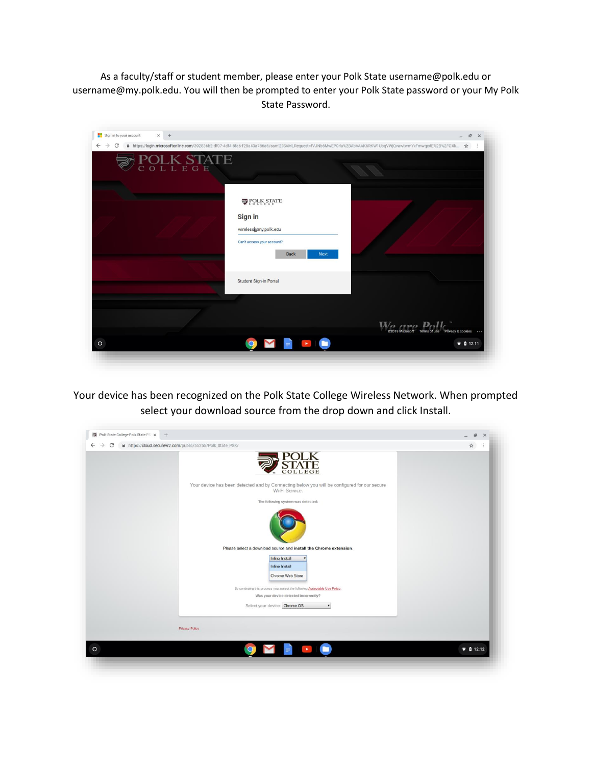As a faculty/staff or student member, please enter your Polk State username@polk.edu or username@my.polk.edu. You will then be prompted to enter your Polk State password or your My Polk State Password.

| Sign in to your account<br>$\times$ +<br>$\leftarrow$<br>$\rightarrow$<br>C<br><b>OLK STATE</b> | ■ https://login.microsoftonline.com/392836b2-df07-4df4-8fa6-f28a43a786a6/saml2?SAMLRequest=fVJNb6MwEP0rlu%2BAbVAAK6RKW1UbqVWjQvawtwmYxFmwqcdE%2B%2FOXk ☆ | $\mathbf{E}$<br>$\mathbf{\times}$<br>$\overline{a}$<br>÷ |
|-------------------------------------------------------------------------------------------------|----------------------------------------------------------------------------------------------------------------------------------------------------------|----------------------------------------------------------|
|                                                                                                 | POLK STATE<br>Sign in<br>wireless@my.polk.edu<br>Can't access your account?<br><b>Back</b><br><b>Next</b>                                                |                                                          |
|                                                                                                 | Student Sign-in Portal                                                                                                                                   |                                                          |
| $\circ$                                                                                         | $\blacksquare$<br>$\bullet$                                                                                                                              | <b>MARIAN DATE</b><br>$\bullet$ 0 12:11                  |

Your device has been recognized on the Polk State College Wireless Network. When prompted select your download source from the drop down and click Install.

| C<br>$\rightarrow$ | A https://cloud.securew2.com/public/55255/Polk_State_PSK/                                                     | ÷<br>☆          |
|--------------------|---------------------------------------------------------------------------------------------------------------|-----------------|
|                    |                                                                                                               |                 |
|                    | Your device has been detected and by Connecting below you will be configured for our secure<br>Wi-Fi Service. |                 |
|                    | The following system was detected:                                                                            |                 |
|                    |                                                                                                               |                 |
|                    | Please select a download source and install the Chrome extension.                                             |                 |
|                    | <b>Inline Install</b><br>$\bullet$                                                                            |                 |
|                    | <b>Inline Install</b><br>Chrome Web Store                                                                     |                 |
|                    |                                                                                                               |                 |
|                    | By continuing this process you accept the following Acceptable Use Policy.                                    |                 |
|                    | Was your device detected incorrectly?                                                                         |                 |
|                    | Select your device: Chrome OS<br>$\pmb{\mathrm{v}}$                                                           |                 |
|                    |                                                                                                               |                 |
|                    | Privacy Policy                                                                                                |                 |
|                    |                                                                                                               | $\n  0 12:12\n$ |
|                    |                                                                                                               |                 |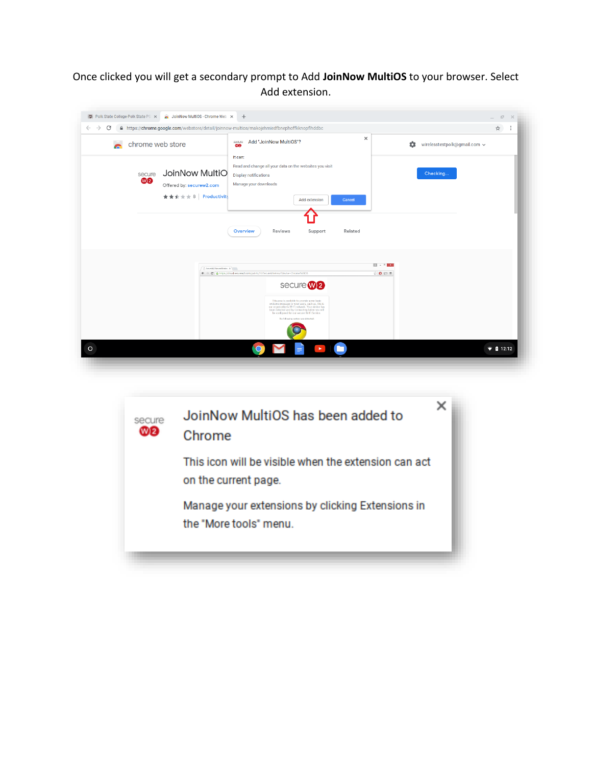## Once clicked you will get a secondary prompt to Add **JoinNow MultiOS** to your browser. Select Add extension.

| chrome web store<br>$\blacksquare$ |                                                                    | Add "JoinNow MultiOS"?<br>secure<br>- <mark>30</mark>                                                                                                         | $\times$<br>≎<br>wirelesstestpolk@gmail.com ~                     |
|------------------------------------|--------------------------------------------------------------------|---------------------------------------------------------------------------------------------------------------------------------------------------------------|-------------------------------------------------------------------|
| secure<br>W <sub>2</sub>           | JoinNow MultiO<br>Offered by: securew2.com<br>★★★★★ 8 Productivity | It can:<br>Read and change all your data on the websites you visit<br><b>Display notifications</b><br>Manage your downloads<br><b>Add extension</b><br>Cancel | Checking                                                          |
|                                    |                                                                    | Overview<br>Reviews<br>Support<br>Related                                                                                                                     |                                                                   |
|                                    | SeneW2-SecureWinder: X                                             | ← → C B https://cloud.securew2.com/public/31/SecureWireless/?device=Chrome%2005<br>secure <b>W2</b>                                                           | $\mathbb{E}$ . $\mathbb{E}$ x<br>$\circledcirc$ O $\Box$ $\equiv$ |
|                                    |                                                                    |                                                                                                                                                               |                                                                   |

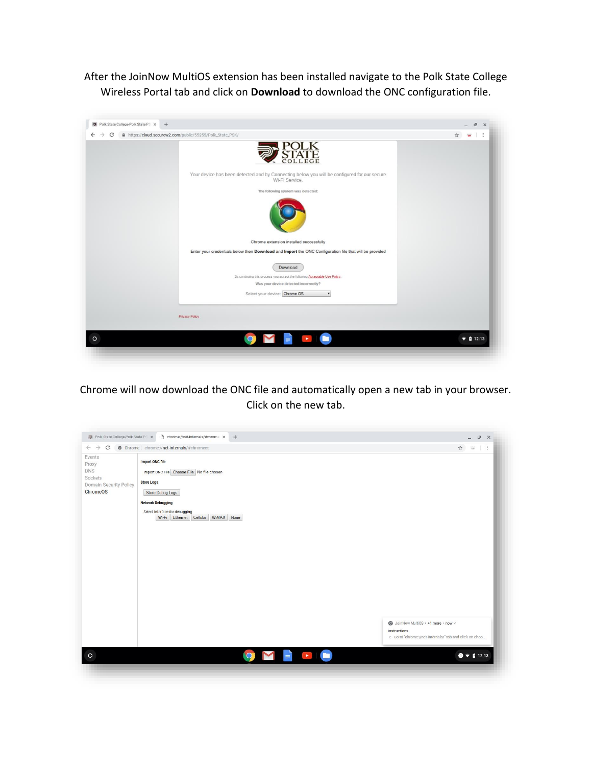After the JoinNow MultiOS extension has been installed navigate to the Polk State College Wireless Portal tab and click on **Download** to download the ONC configuration file.



Chrome will now download the ONC file and automatically open a new tab in your browser. Click on the new tab.